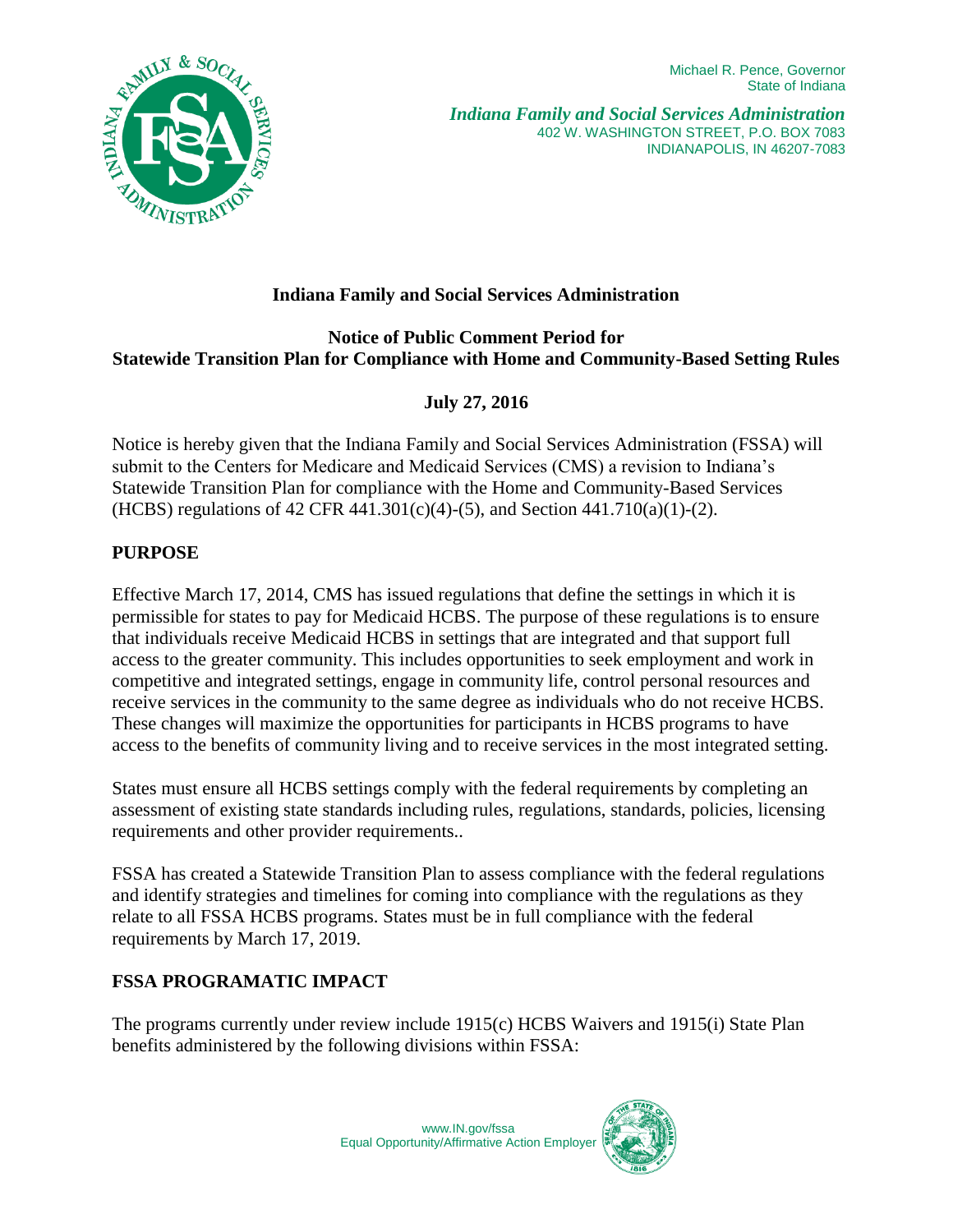Michael R. Pence, Governor State of Indiana



# **Indiana Family and Social Services Administration**

## **Notice of Public Comment Period for Statewide Transition Plan for Compliance with Home and Community-Based Setting Rules**

## **July 27, 2016**

Notice is hereby given that the Indiana Family and Social Services Administration (FSSA) will submit to the Centers for Medicare and Medicaid Services (CMS) a revision to Indiana's Statewide Transition Plan for compliance with the Home and Community-Based Services (HCBS) regulations of 42 CFR 441.301(c)(4)-(5), and Section 441.710(a)(1)-(2).

### **PURPOSE**

Effective March 17, 2014, CMS has issued regulations that define the settings in which it is permissible for states to pay for Medicaid HCBS. The purpose of these regulations is to ensure that individuals receive Medicaid HCBS in settings that are integrated and that support full access to the greater community. This includes opportunities to seek employment and work in competitive and integrated settings, engage in community life, control personal resources and receive services in the community to the same degree as individuals who do not receive HCBS. These changes will maximize the opportunities for participants in HCBS programs to have access to the benefits of community living and to receive services in the most integrated setting.

States must ensure all HCBS settings comply with the federal requirements by completing an assessment of existing state standards including rules, regulations, standards, policies, licensing requirements and other provider requirements..

FSSA has created a Statewide Transition Plan to assess compliance with the federal regulations and identify strategies and timelines for coming into compliance with the regulations as they relate to all FSSA HCBS programs. States must be in full compliance with the federal requirements by March 17, 2019.

### **FSSA PROGRAMATIC IMPACT**

The programs currently under review include 1915(c) HCBS Waivers and 1915(i) State Plan benefits administered by the following divisions within FSSA: